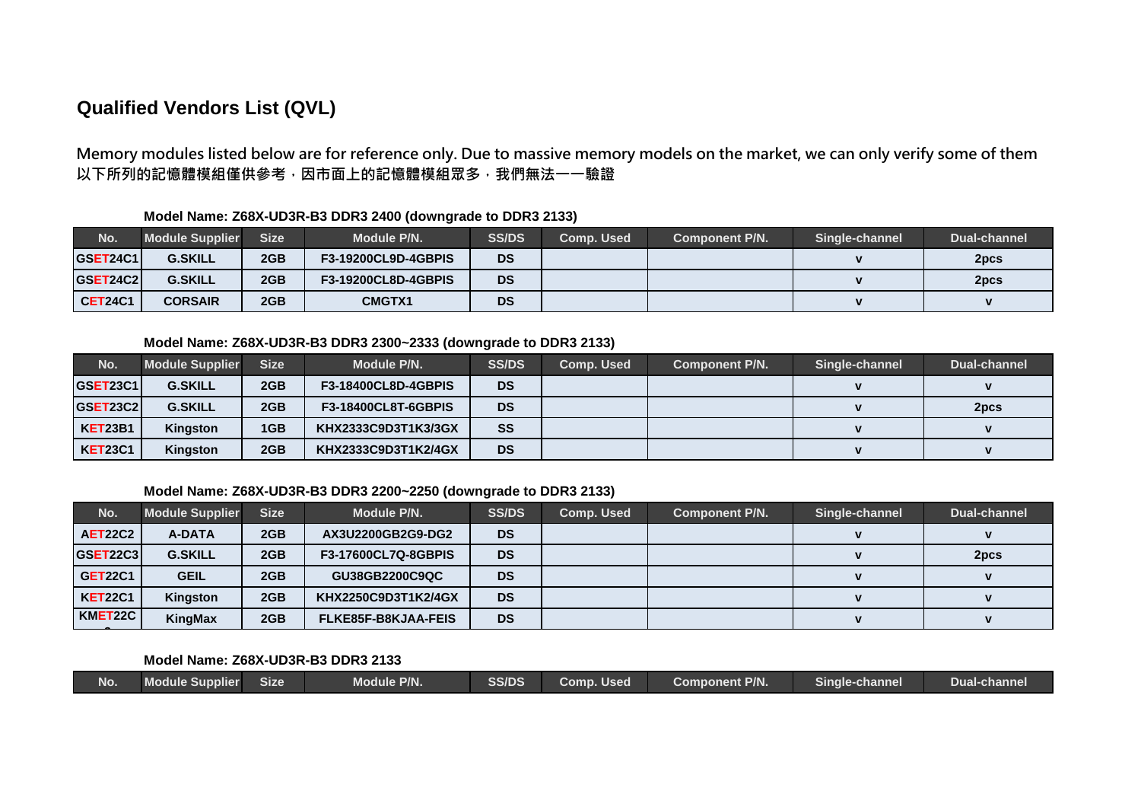# **Qualified Vendors List (QVL)**

Memory modules listed below are for reference only. Due to massive memory models on the market, we can only verify some of them以下所列的記憶體模組僅供參考,因市面上的記憶體模組眾多,我們無法一一驗證

| No.            | <b>Module Supplier</b> | <b>Size</b> | <b>Module P/N.</b>         | <b>SS/DS</b> | Comp. Used | <b>Component P/N.</b> | Single-channel | Dual-channel |
|----------------|------------------------|-------------|----------------------------|--------------|------------|-----------------------|----------------|--------------|
| GSET24C1       | <b>G.SKILL</b>         | 2GB         | <b>F3-19200CL9D-4GBPIS</b> | <b>DS</b>    |            |                       |                | 2pcs         |
| GSET24C2       | <b>G.SKILL</b>         | 2GB         | <b>F3-19200CL8D-4GBPIS</b> | <b>DS</b>    |            |                       |                | 2pcs         |
| <b>CET24C1</b> | <b>CORSAIR</b>         | 2GB         | <b>CMGTX1</b>              | <b>DS</b>    |            |                       |                |              |

## **Model Name: Z68X-UD3R-B3 DDR3 2400 (downgrade to DDR3 2133)**

### **Model Name: Z68X-UD3R-B3 DDR3 2300~2333 (downgrade to DDR3 2133)**

| No.             | <b>Module Supplier</b> | <b>Size</b> | Module P/N.                | <b>SS/DS</b> | <b>Comp. Used</b> | Component P/N. | Single-channel | Dual-channel |
|-----------------|------------------------|-------------|----------------------------|--------------|-------------------|----------------|----------------|--------------|
| <b>GSET23C1</b> | <b>G.SKILL</b>         | 2GB         | <b>F3-18400CL8D-4GBPIS</b> | <b>DS</b>    |                   |                |                |              |
| <b>GSET23C2</b> | <b>G.SKILL</b>         | 2GB         | <b>F3-18400CL8T-6GBPIS</b> | <b>DS</b>    |                   |                |                | 2pcs         |
| <b>KET23B1</b>  | Kingston               | 1GB         | KHX2333C9D3T1K3/3GX        | SS           |                   |                |                |              |
| <b>KET23C1</b>  | <b>Kingston</b>        | 2GB         | KHX2333C9D3T1K2/4GX        | <b>DS</b>    |                   |                |                |              |

### **Model Name: Z68X-UD3R-B3 DDR3 2200~2250 (downgrade to DDR3 2133)**

| No.             | <b>Module Supplier</b> | <b>Size</b> | Module P/N.                | <b>SS/DS</b> | <b>Comp. Used</b> | <b>Component P/N.</b> | Single-channel | Dual-channel |
|-----------------|------------------------|-------------|----------------------------|--------------|-------------------|-----------------------|----------------|--------------|
| <b>AET22C2</b>  | A-DATA                 | 2GB         | AX3U2200GB2G9-DG2          | <b>DS</b>    |                   |                       |                |              |
| <b>GSET22C3</b> | <b>G.SKILL</b>         | 2GB         | <b>F3-17600CL7Q-8GBPIS</b> | <b>DS</b>    |                   |                       |                | 2pcs         |
| <b>GET22C1</b>  | <b>GEIL</b>            | 2GB         | GU38GB2200C9QC             | <b>DS</b>    |                   |                       |                |              |
| <b>KET22C1</b>  | Kingston               | 2GB         | KHX2250C9D3T1K2/4GX        | <b>DS</b>    |                   |                       |                |              |
| KMET22C         | KingMax                | 2GB         | <b>FLKE85F-B8KJAA-FEIS</b> | <b>DS</b>    |                   |                       |                |              |

| SS/DS<br>Module P/N.<br><b>Component P/N.</b><br>No.<br>Size<br>Supplier<br>Used<br>-channel<br>Comp.<br>Sinale-<br><b>Module</b> | <b>Dual-channel</b> |
|-----------------------------------------------------------------------------------------------------------------------------------|---------------------|
|-----------------------------------------------------------------------------------------------------------------------------------|---------------------|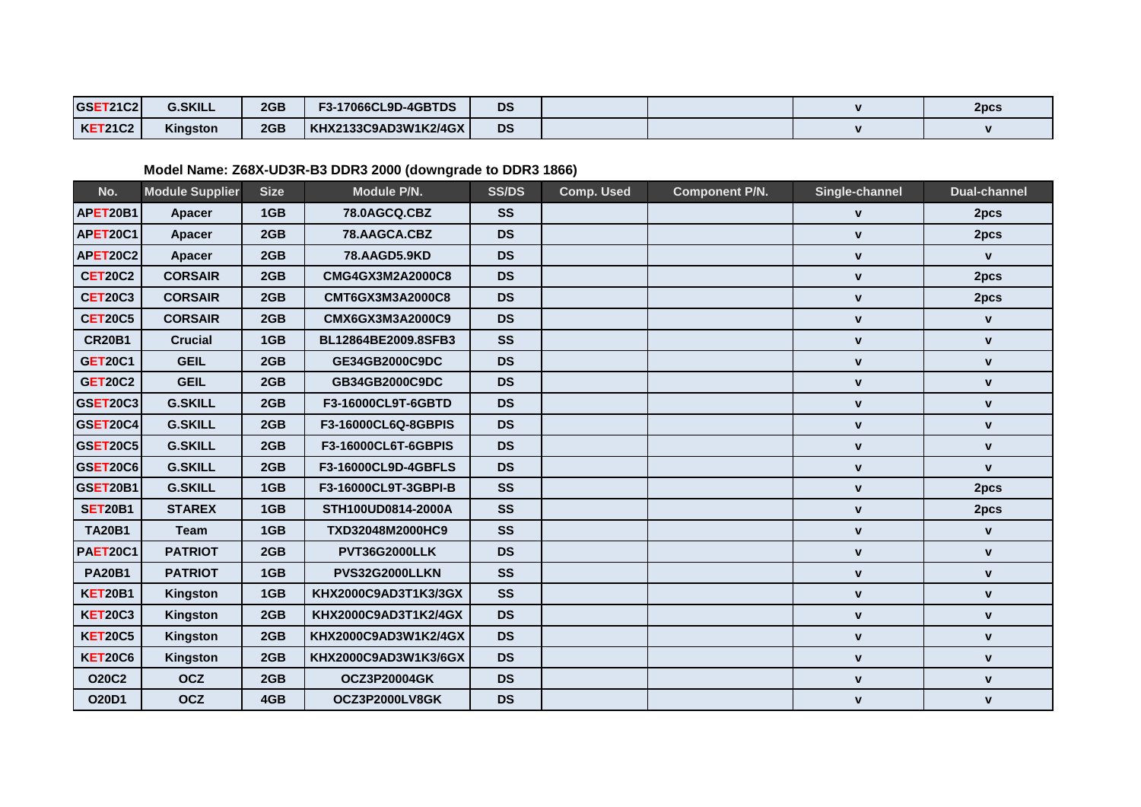| <b>GSET21C2</b> | <b>G.SKILL</b> | 2GB | <b>F3-17066CL9D-4GBTDS</b> | <b>DS</b> |  | 2pcs |
|-----------------|----------------|-----|----------------------------|-----------|--|------|
| <b>KET21C2</b>  | Kingston       | 2GB | KHX2133C9AD3W1K2/4GX       | <b>DS</b> |  |      |

# **Model Name: Z68X-UD3R-B3 DDR3 2000 (downgrade to DDR3 1866)**

| No.             | <b>Module Supplier</b> | <b>Size</b> | Module P/N.          | <b>SS/DS</b> | <b>Comp. Used</b> | <b>Component P/N.</b> | Single-channel | <b>Dual-channel</b> |
|-----------------|------------------------|-------------|----------------------|--------------|-------------------|-----------------------|----------------|---------------------|
| APET20B1        | <b>Apacer</b>          | 1GB         | 78.0AGCQ.CBZ         | <b>SS</b>    |                   |                       | $\mathbf{v}$   | 2pcs                |
| APET20C1        | Apacer                 | 2GB         | 78.AAGCA.CBZ         | <b>DS</b>    |                   |                       | $\mathbf V$    | 2pcs                |
| APET20C2        | Apacer                 | 2GB         | 78.AAGD5.9KD         | <b>DS</b>    |                   |                       | $\mathbf V$    | $\mathbf{V}$        |
| <b>CET20C2</b>  | <b>CORSAIR</b>         | 2GB         | CMG4GX3M2A2000C8     | <b>DS</b>    |                   |                       | $\mathbf v$    | 2pcs                |
| <b>CET20C3</b>  | <b>CORSAIR</b>         | 2GB         | CMT6GX3M3A2000C8     | <b>DS</b>    |                   |                       | $\mathbf V$    | 2pcs                |
| <b>CET20C5</b>  | <b>CORSAIR</b>         | 2GB         | CMX6GX3M3A2000C9     | <b>DS</b>    |                   |                       | $\mathbf v$    | $\mathbf{v}$        |
| <b>CR20B1</b>   | <b>Crucial</b>         | 1GB         | BL12864BE2009.8SFB3  | <b>SS</b>    |                   |                       | $\mathbf V$    | $\mathbf{v}$        |
| <b>GET20C1</b>  | <b>GEIL</b>            | 2GB         | GE34GB2000C9DC       | <b>DS</b>    |                   |                       | $\mathbf v$    | $\mathbf{v}$        |
| <b>GET20C2</b>  | <b>GEIL</b>            | 2GB         | GB34GB2000C9DC       | <b>DS</b>    |                   |                       | $\mathbf V$    | $\mathbf{v}$        |
| GSET20C3        | <b>G.SKILL</b>         | 2GB         | F3-16000CL9T-6GBTD   | <b>DS</b>    |                   |                       | $\mathbf V$    | V                   |
| <b>GSET20C4</b> | <b>G.SKILL</b>         | 2GB         | F3-16000CL6Q-8GBPIS  | <b>DS</b>    |                   |                       | $\mathbf{v}$   | $\mathbf{V}$        |
| <b>GSET20C5</b> | <b>G.SKILL</b>         | 2GB         | F3-16000CL6T-6GBPIS  | <b>DS</b>    |                   |                       | $\mathbf{v}$   | $\mathbf{v}$        |
| <b>GSET20C6</b> | <b>G.SKILL</b>         | 2GB         | F3-16000CL9D-4GBFLS  | <b>DS</b>    |                   |                       | $\mathbf{v}$   | $\mathbf{v}$        |
| GSET20B1        | <b>G.SKILL</b>         | 1GB         | F3-16000CL9T-3GBPI-B | <b>SS</b>    |                   |                       | $\mathbf{v}$   | 2pcs                |
| <b>SET20B1</b>  | <b>STAREX</b>          | 1GB         | STH100UD0814-2000A   | <b>SS</b>    |                   |                       | $\mathbf{V}$   | 2pcs                |
| <b>TA20B1</b>   | <b>Team</b>            | 1GB         | TXD32048M2000HC9     | <b>SS</b>    |                   |                       | $\mathbf v$    | $\mathbf v$         |
| <b>PAET20C1</b> | <b>PATRIOT</b>         | 2GB         | <b>PVT36G2000LLK</b> | <b>DS</b>    |                   |                       | $\mathbf V$    | $\mathbf{v}$        |
| <b>PA20B1</b>   | <b>PATRIOT</b>         | 1GB         | PVS32G2000LLKN       | <b>SS</b>    |                   |                       | $\mathbf V$    | $\mathbf v$         |
| <b>KET20B1</b>  | Kingston               | 1GB         | KHX2000C9AD3T1K3/3GX | <b>SS</b>    |                   |                       | $\mathbf{V}$   | $\mathbf{v}$        |
| <b>KET20C3</b>  | Kingston               | 2GB         | KHX2000C9AD3T1K2/4GX | <b>DS</b>    |                   |                       | $\mathbf v$    | $\mathbf v$         |
| <b>KET20C5</b>  | Kingston               | 2GB         | KHX2000C9AD3W1K2/4GX | <b>DS</b>    |                   |                       | $\mathbf V$    | $\pmb{\mathsf{V}}$  |
| <b>KET20C6</b>  | Kingston               | 2GB         | KHX2000C9AD3W1K3/6GX | <b>DS</b>    |                   |                       | $\mathbf V$    | $\mathbf v$         |
| <b>O20C2</b>    | <b>OCZ</b>             | 2GB         | <b>OCZ3P20004GK</b>  | <b>DS</b>    |                   |                       | $\mathbf V$    | V                   |
| <b>O20D1</b>    | <b>OCZ</b>             | 4GB         | OCZ3P2000LV8GK       | <b>DS</b>    |                   |                       | V              | $\mathbf v$         |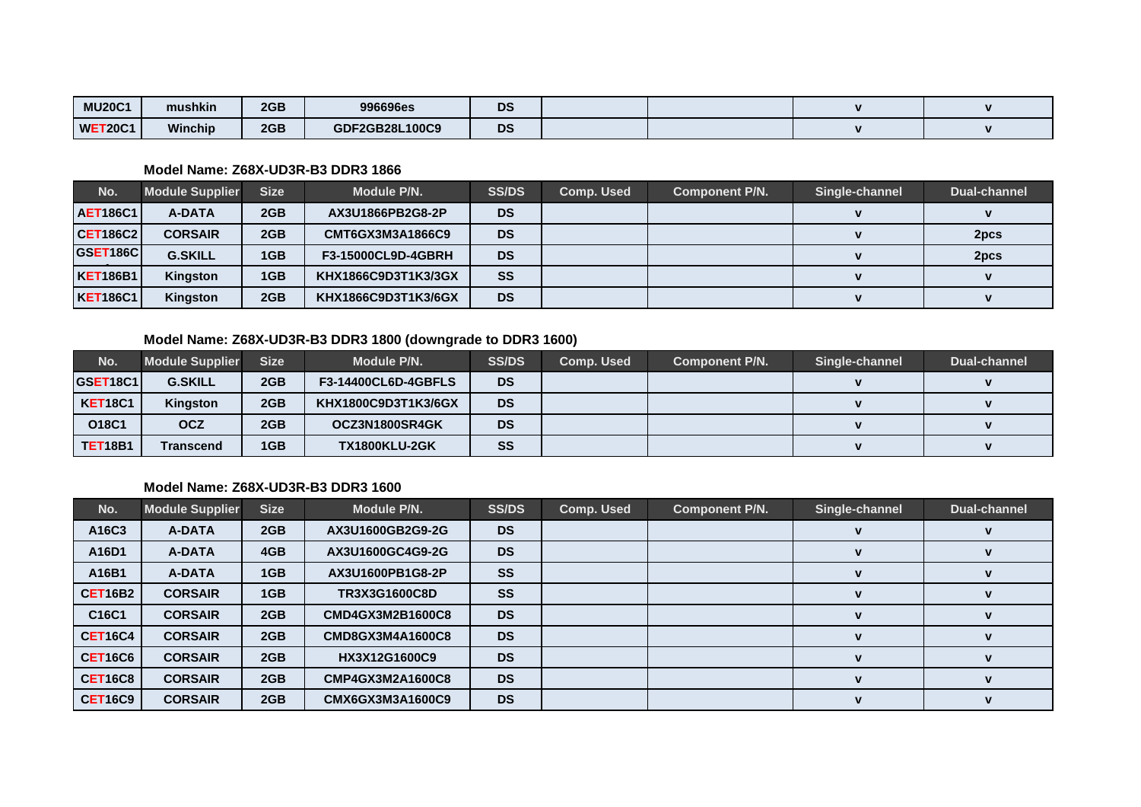| <b>MU20C1</b>  | mushkin        | 2GB | 996696es       | <b>DS</b> |  | $\blacksquare$ |
|----------------|----------------|-----|----------------|-----------|--|----------------|
| <b>WET20C1</b> | <b>Winchip</b> | 2GB | GDF2GB28L100C9 | <b>DS</b> |  | 1.             |

### **Model Name: Z68X-UD3R-B3 DDR3 1866**

| No.             | <b>Module Supplier</b> | <b>Size</b> | Module P/N.               | <b>SS/DS</b> | <b>Comp. Used</b> | <b>Component P/N.</b> | Single-channel | <b>Dual-channel</b> |
|-----------------|------------------------|-------------|---------------------------|--------------|-------------------|-----------------------|----------------|---------------------|
| <b>AET186C1</b> | A-DATA                 | 2GB         | AX3U1866PB2G8-2P          | <b>DS</b>    |                   |                       |                |                     |
| CET186C2        | <b>CORSAIR</b>         | 2GB         | CMT6GX3M3A1866C9          | <b>DS</b>    |                   |                       |                | 2pcs                |
| <b>GSET186C</b> | <b>G.SKILL</b>         | 1GB         | <b>F3-15000CL9D-4GBRH</b> | <b>DS</b>    |                   |                       |                | 2pcs                |
| <b>KET186B1</b> | Kingston               | 1GB         | KHX1866C9D3T1K3/3GX       | <b>SS</b>    |                   |                       |                |                     |
| <b>KET186C1</b> | <b>Kingston</b>        | 2GB         | KHX1866C9D3T1K3/6GX       | <b>DS</b>    |                   |                       |                |                     |

### **Model Name: Z68X-UD3R-B3 DDR3 1800 (downgrade to DDR3 1600)**

| No.                  | <b>Module Supplier</b> | <b>Size</b> | Module P/N.                | <b>SS/DS</b> | <b>Comp. Used</b> | <b>Component P/N.</b> | Single-channel | <b>Dual-channel</b> |
|----------------------|------------------------|-------------|----------------------------|--------------|-------------------|-----------------------|----------------|---------------------|
| GSET <sub>18C1</sub> | <b>G.SKILL</b>         | 2GB         | <b>F3-14400CL6D-4GBFLS</b> | <b>DS</b>    |                   |                       |                |                     |
| <b>KET18C1</b>       | <b>Kingston</b>        | 2GB         | KHX1800C9D3T1K3/6GX        | <b>DS</b>    |                   |                       |                |                     |
| O18C1                | <b>OCZ</b>             | 2GB         | OCZ3N1800SR4GK             | <b>DS</b>    |                   |                       |                |                     |
| <b>TET18B1</b>       | Transcend              | 1GB         | <b>TX1800KLU-2GK</b>       | SS           |                   |                       |                |                     |

| No.            | <b>Module Supplier</b> | <b>Size</b> | Module P/N.             | <b>SS/DS</b> | <b>Comp. Used</b> | Component P/N. | Single-channel | <b>Dual-channel</b> |
|----------------|------------------------|-------------|-------------------------|--------------|-------------------|----------------|----------------|---------------------|
| A16C3          | A-DATA                 | 2GB         | AX3U1600GB2G9-2G        | <b>DS</b>    |                   |                |                |                     |
| A16D1          | <b>A-DATA</b>          | 4GB         | AX3U1600GC4G9-2G        | <b>DS</b>    |                   |                |                |                     |
| A16B1          | A-DATA                 | 1GB         | AX3U1600PB1G8-2P        | <b>SS</b>    |                   |                |                |                     |
| <b>CET16B2</b> | <b>CORSAIR</b>         | 1GB         | <b>TR3X3G1600C8D</b>    | <b>SS</b>    |                   |                |                |                     |
| C16C1          | <b>CORSAIR</b>         | 2GB         | CMD4GX3M2B1600C8        | <b>DS</b>    |                   |                |                |                     |
| <b>CET16C4</b> | <b>CORSAIR</b>         | 2GB         | CMD8GX3M4A1600C8        | <b>DS</b>    |                   |                |                |                     |
| <b>CET16C6</b> | <b>CORSAIR</b>         | 2GB         | HX3X12G1600C9           | <b>DS</b>    |                   |                |                |                     |
| <b>CET16C8</b> | <b>CORSAIR</b>         | 2GB         | <b>CMP4GX3M2A1600C8</b> | <b>DS</b>    |                   |                |                |                     |
| <b>CET16C9</b> | <b>CORSAIR</b>         | 2GB         | CMX6GX3M3A1600C9        | <b>DS</b>    |                   |                |                |                     |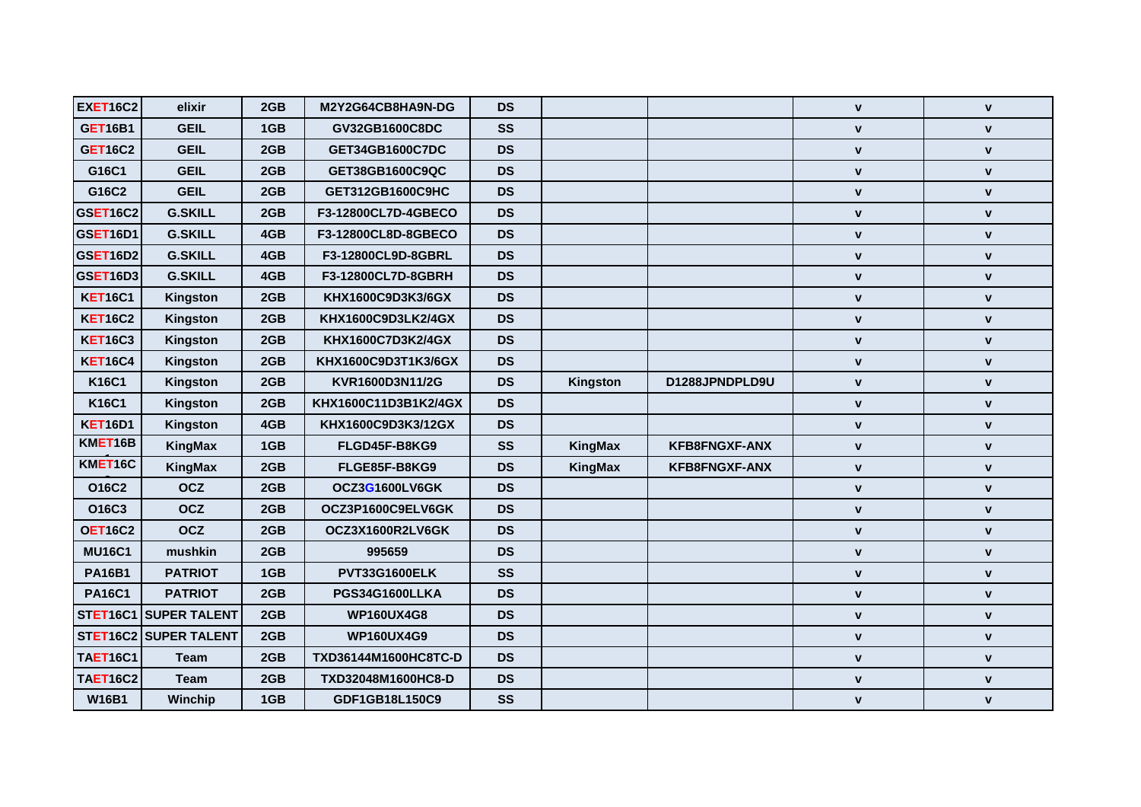| <b>EXET16C2</b> | elixir                       | 2GB             | M2Y2G64CB8HA9N-DG    | <b>DS</b> |          |                      | $\mathbf{v}$       | $\mathbf{V}$       |
|-----------------|------------------------------|-----------------|----------------------|-----------|----------|----------------------|--------------------|--------------------|
| <b>GET16B1</b>  | <b>GEIL</b>                  | 1GB             | GV32GB1600C8DC       | <b>SS</b> |          |                      | $\mathbf{v}$       | $\mathbf{v}$       |
| <b>GET16C2</b>  | <b>GEIL</b>                  | 2GB             | GET34GB1600C7DC      | <b>DS</b> |          |                      | $\mathbf{v}$       | $\mathbf{v}$       |
| G16C1           | <b>GEIL</b>                  | 2GB             | GET38GB1600C9QC      | <b>DS</b> |          |                      | $\mathbf{v}$       | $\mathbf{V}$       |
| G16C2           | <b>GEIL</b>                  | 2GB             | GET312GB1600C9HC     | <b>DS</b> |          |                      | $\mathbf V$        | $\mathbf{V}$       |
| <b>GSET16C2</b> | <b>G.SKILL</b>               | 2GB             | F3-12800CL7D-4GBECO  | <b>DS</b> |          |                      | $\mathbf V$        | $\mathbf V$        |
| GSET16D1        | <b>G.SKILL</b>               | 4GB             | F3-12800CL8D-8GBECO  | <b>DS</b> |          |                      | $\mathbf{v}$       | $\mathbf{v}$       |
| <b>GSET16D2</b> | <b>G.SKILL</b>               | 4GB             | F3-12800CL9D-8GBRL   | <b>DS</b> |          |                      | $\mathbf V$        | $\mathbf V$        |
| <b>GSET16D3</b> | <b>G.SKILL</b>               | 4GB             | F3-12800CL7D-8GBRH   | <b>DS</b> |          |                      | $\mathbf v$        | $\mathbf v$        |
| <b>KET16C1</b>  | Kingston                     | 2GB             | KHX1600C9D3K3/6GX    | <b>DS</b> |          |                      | $\mathbf v$        | $\mathbf v$        |
| <b>KET16C2</b>  | Kingston                     | 2GB             | KHX1600C9D3LK2/4GX   | <b>DS</b> |          |                      | V                  | $\pmb{\mathsf{v}}$ |
| <b>KET16C3</b>  | Kingston                     | 2GB             | KHX1600C7D3K2/4GX    | <b>DS</b> |          |                      | $\mathbf V$        | $\pmb{\mathsf{v}}$ |
| <b>KET16C4</b>  | Kingston                     | 2GB             | KHX1600C9D3T1K3/6GX  | <b>DS</b> |          |                      | $\mathbf{v}$       | $\mathbf{v}$       |
| <b>K16C1</b>    | Kingston                     | 2GB             | KVR1600D3N11/2G      | <b>DS</b> | Kingston | D1288JPNDPLD9U       | $\mathbf{v}$       | $\mathbf v$        |
| <b>K16C1</b>    | Kingston                     | 2GB             | KHX1600C11D3B1K2/4GX | <b>DS</b> |          |                      | $\mathbf{v}$       | $\mathbf{v}$       |
| <b>KET16D1</b>  | Kingston                     | 4GB             | KHX1600C9D3K3/12GX   | <b>DS</b> |          |                      | $\mathbf v$        | $\mathbf v$        |
| KMET16B         | KingMax                      | 1GB             | FLGD45F-B8KG9        | <b>SS</b> | KingMax  | <b>KFB8FNGXF-ANX</b> | $\mathbf{v}$       | $\mathbf{v}$       |
| KMET16C         | KingMax                      | 2GB             | FLGE85F-B8KG9        | <b>DS</b> | KingMax  | <b>KFB8FNGXF-ANX</b> | $\mathbf v$        | $\mathbf v$        |
| O16C2           | <b>OCZ</b>                   | 2GB             | OCZ3G1600LV6GK       | <b>DS</b> |          |                      | $\mathbf v$        | $\mathbf{v}$       |
| O16C3           | <b>OCZ</b>                   | 2GB             | OCZ3P1600C9ELV6GK    | <b>DS</b> |          |                      | $\mathbf v$        | $\mathbf v$        |
| <b>OET16C2</b>  | <b>OCZ</b>                   | 2GB             | OCZ3X1600R2LV6GK     | <b>DS</b> |          |                      | $\mathbf{v}$       | $\mathbf{v}$       |
| <b>MU16C1</b>   | mushkin                      | 2GB             | 995659               | <b>DS</b> |          |                      | $\mathbf{v}$       | $\pmb{\mathsf{v}}$ |
| <b>PA16B1</b>   | <b>PATRIOT</b>               | 1GB             | PVT33G1600ELK        | <b>SS</b> |          |                      | $\mathbf v$        | $\mathbf v$        |
| <b>PA16C1</b>   | <b>PATRIOT</b>               | 2GB             | PGS34G1600LLKA       | <b>DS</b> |          |                      | $\mathbf V$        | $\mathbf V$        |
|                 | STET16C1 SUPER TALENT        | 2GB             | <b>WP160UX4G8</b>    | <b>DS</b> |          |                      | $\mathbf{v}$       | $\mathbf{v}$       |
|                 | <b>STET16C2 SUPER TALENT</b> | 2GB             | <b>WP160UX4G9</b>    | <b>DS</b> |          |                      | $\mathbf v$        | $\pmb{\mathsf{v}}$ |
| <b>TAET16C1</b> | <b>Team</b>                  | 2GB             | TXD36144M1600HC8TC-D | <b>DS</b> |          |                      | $\mathbf{v}$       | $\mathbf{v}$       |
| <b>TAET16C2</b> | <b>Team</b>                  | 2GB             | TXD32048M1600HC8-D   | <b>DS</b> |          |                      | $\pmb{\mathsf{V}}$ | $\pmb{\mathsf{v}}$ |
| <b>W16B1</b>    | Winchip                      | 1 <sub>GB</sub> | GDF1GB18L150C9       | <b>SS</b> |          |                      | $\mathbf{v}$       | $\mathbf{v}$       |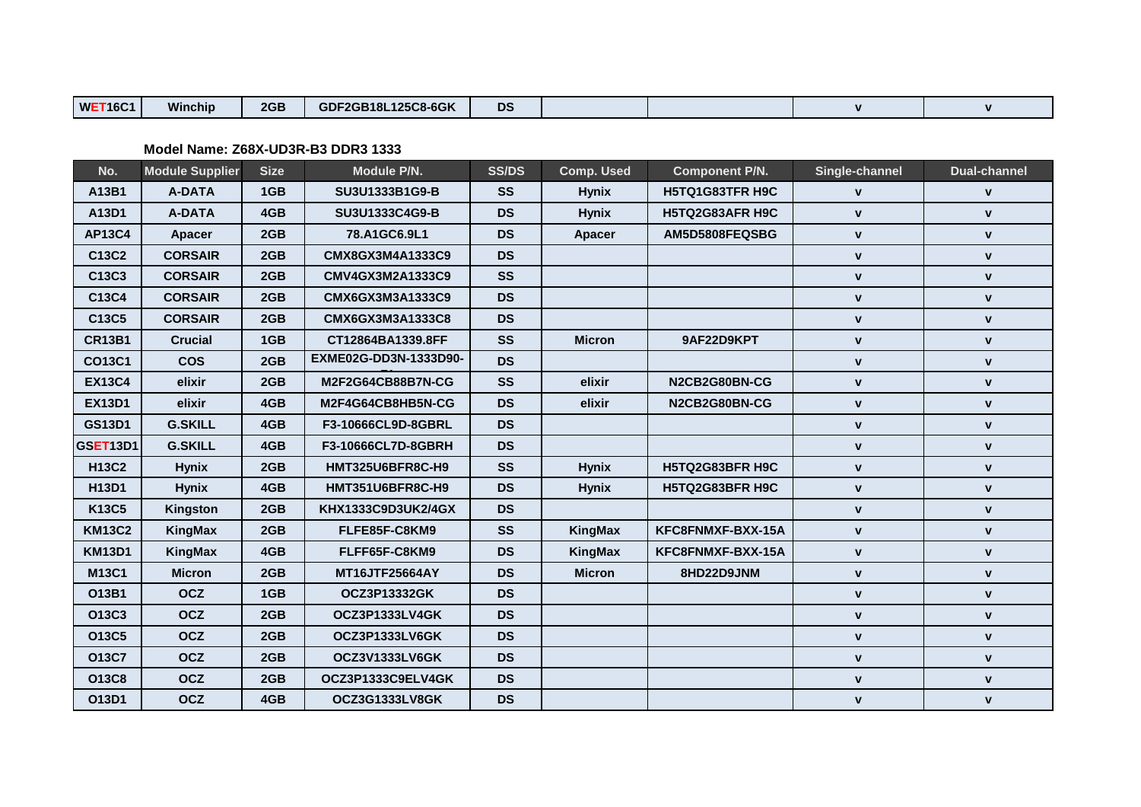| WF<br>2GB<br>1.0.00<br><b>DS</b><br>GDF2GB18L125C8-6GK<br>T16C'<br>Winchip |  |  |  |  |  |  |  |
|----------------------------------------------------------------------------|--|--|--|--|--|--|--|
|----------------------------------------------------------------------------|--|--|--|--|--|--|--|

| No.           | <b>Module Supplier</b> | <b>Size</b> | Module P/N.             | <b>SS/DS</b> | <b>Comp. Used</b> | <b>Component P/N.</b> | Single-channel | <b>Dual-channel</b> |
|---------------|------------------------|-------------|-------------------------|--------------|-------------------|-----------------------|----------------|---------------------|
| A13B1         | <b>A-DATA</b>          | 1GB         | SU3U1333B1G9-B          | <b>SS</b>    | <b>Hynix</b>      | H5TQ1G83TFR H9C       | V              | V                   |
| A13D1         | <b>A-DATA</b>          | 4GB         | SU3U1333C4G9-B          | <b>DS</b>    | <b>Hynix</b>      | H5TQ2G83AFR H9C       | $\mathbf{V}$   | V                   |
| <b>AP13C4</b> | <b>Apacer</b>          | 2GB         | 78.A1GC6.9L1            | <b>DS</b>    | Apacer            | AM5D5808FEQSBG        | $\mathbf{v}$   | $\mathbf{v}$        |
| C13C2         | <b>CORSAIR</b>         | 2GB         | CMX8GX3M4A1333C9        | <b>DS</b>    |                   |                       | $\mathbf v$    | $\mathbf v$         |
| C13C3         | <b>CORSAIR</b>         | 2GB         | CMV4GX3M2A1333C9        | <b>SS</b>    |                   |                       | $\mathbf V$    | $\mathbf v$         |
| C13C4         | <b>CORSAIR</b>         | 2GB         | CMX6GX3M3A1333C9        | <b>DS</b>    |                   |                       | $\mathbf{v}$   | $\mathbf{v}$        |
| C13C5         | <b>CORSAIR</b>         | 2GB         | CMX6GX3M3A1333C8        | <b>DS</b>    |                   |                       | $\mathbf{v}$   | $\mathbf v$         |
| <b>CR13B1</b> | <b>Crucial</b>         | 1GB         | CT12864BA1339.8FF       | <b>SS</b>    | <b>Micron</b>     | 9AF22D9KPT            | $\mathbf{v}$   | $\mathbf{v}$        |
| <b>CO13C1</b> | <b>COS</b>             | 2GB         | EXME02G-DD3N-1333D90-   | <b>DS</b>    |                   |                       | V              | $\mathbf v$         |
| <b>EX13C4</b> | elixir                 | 2GB         | M2F2G64CB88B7N-CG       | <b>SS</b>    | elixir            | N2CB2G80BN-CG         | $\mathbf{v}$   | $\mathbf V$         |
| <b>EX13D1</b> | elixir                 | 4GB         | M2F4G64CB8HB5N-CG       | <b>DS</b>    | elixir            | N2CB2G80BN-CG         | V              | $\mathbf v$         |
| <b>GS13D1</b> | <b>G.SKILL</b>         | 4GB         | F3-10666CL9D-8GBRL      | <b>DS</b>    |                   |                       | $\mathbf V$    | $\mathbf{V}$        |
| GSET13D1      | <b>G.SKILL</b>         | 4GB         | F3-10666CL7D-8GBRH      | <b>DS</b>    |                   |                       | $\mathbf V$    | $\mathbf v$         |
| <b>H13C2</b>  | <b>Hynix</b>           | 2GB         | <b>HMT325U6BFR8C-H9</b> | <b>SS</b>    | <b>Hynix</b>      | H5TQ2G83BFR H9C       | $\mathbf{v}$   | $\mathbf{v}$        |
| H13D1         | <b>Hynix</b>           | 4GB         | <b>HMT351U6BFR8C-H9</b> | <b>DS</b>    | <b>Hynix</b>      | H5TQ2G83BFR H9C       | $\mathbf v$    | $\mathbf v$         |
| K13C5         | Kingston               | 2GB         | KHX1333C9D3UK2/4GX      | <b>DS</b>    |                   |                       | V              | V                   |
| <b>KM13C2</b> | KingMax                | 2GB         | FLFE85F-C8KM9           | <b>SS</b>    | KingMax           | KFC8FNMXF-BXX-15A     | $\mathbf{v}$   | $\mathbf{v}$        |
| <b>KM13D1</b> | KingMax                | 4GB         | FLFF65F-C8KM9           | <b>DS</b>    | KingMax           | KFC8FNMXF-BXX-15A     | V              | $\mathbf v$         |
| M13C1         | <b>Micron</b>          | 2GB         | MT16JTF25664AY          | <b>DS</b>    | <b>Micron</b>     | 8HD22D9JNM            | V              | $\mathbf v$         |
| O13B1         | <b>OCZ</b>             | 1GB         | <b>OCZ3P13332GK</b>     | <b>DS</b>    |                   |                       | $\mathbf{v}$   | $\mathbf{v}$        |
| O13C3         | <b>OCZ</b>             | 2GB         | OCZ3P1333LV4GK          | <b>DS</b>    |                   |                       | $\mathbf{v}$   | $\mathbf{v}$        |
| O13C5         | <b>OCZ</b>             | 2GB         | OCZ3P1333LV6GK          | <b>DS</b>    |                   |                       | V              | $\mathbf v$         |
| O13C7         | <b>OCZ</b>             | 2GB         | OCZ3V1333LV6GK          | <b>DS</b>    |                   |                       | $\mathbf v$    | $\mathbf{v}$        |
| O13C8         | <b>OCZ</b>             | 2GB         | OCZ3P1333C9ELV4GK       | <b>DS</b>    |                   |                       | V              | $\mathbf v$         |
| O13D1         | <b>OCZ</b>             | 4GB         | OCZ3G1333LV8GK          | <b>DS</b>    |                   |                       | V              | $\mathbf v$         |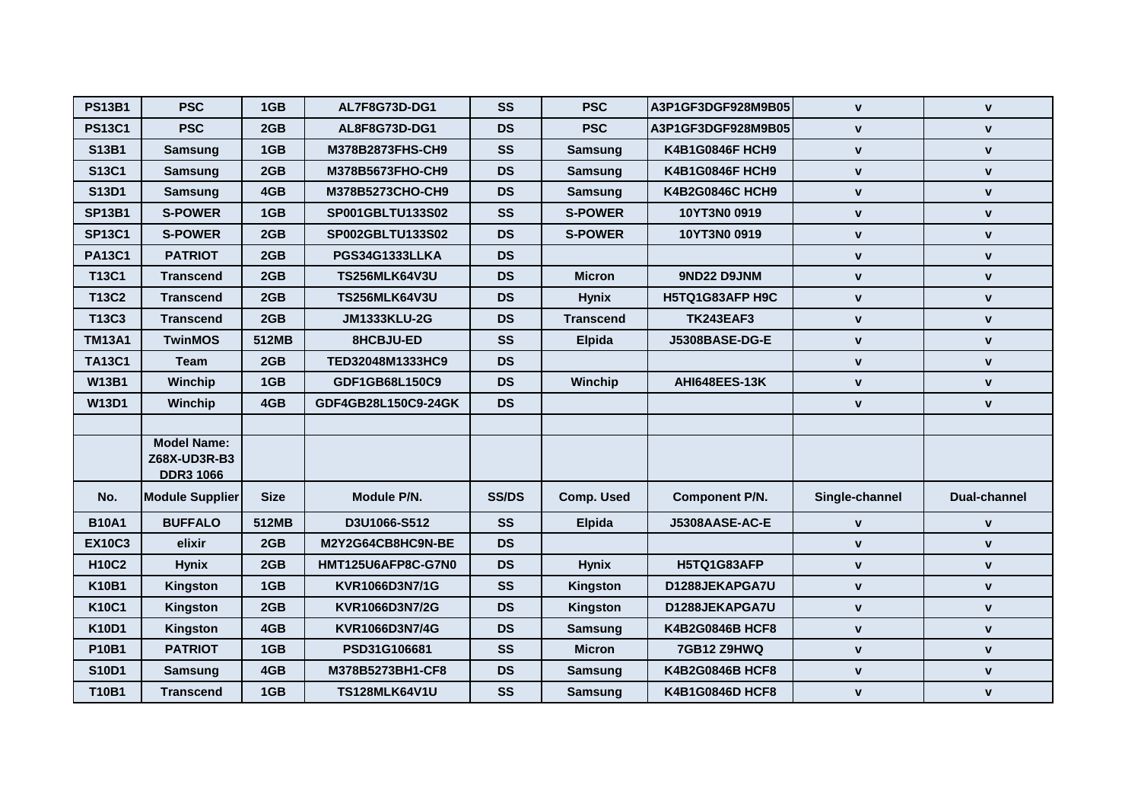| <b>PS13B1</b> | <b>PSC</b>                                             | 1GB         | AL7F8G73D-DG1        | SS           | <b>PSC</b>        | A3P1GF3DGF928M9B05     | $\mathbf{v}$   | $\mathbf{v}$        |
|---------------|--------------------------------------------------------|-------------|----------------------|--------------|-------------------|------------------------|----------------|---------------------|
| <b>PS13C1</b> | <b>PSC</b>                                             | 2GB         | AL8F8G73D-DG1        | <b>DS</b>    | <b>PSC</b>        | A3P1GF3DGF928M9B05     | $\mathbf{v}$   | $\mathbf{v}$        |
| S13B1         | <b>Samsung</b>                                         | 1GB         | M378B2873FHS-CH9     | SS           | <b>Samsung</b>    | K4B1G0846F HCH9        | $\mathbf{v}$   | $\mathbf{v}$        |
| S13C1         | <b>Samsung</b>                                         | 2GB         | M378B5673FHO-CH9     | <b>DS</b>    | Samsung           | K4B1G0846F HCH9        | V              | $\mathbf{V}$        |
| S13D1         | Samsung                                                | 4GB         | M378B5273CHO-CH9     | <b>DS</b>    | <b>Samsung</b>    | K4B2G0846C HCH9        | $\mathbf{v}$   | $\mathbf{v}$        |
| <b>SP13B1</b> | <b>S-POWER</b>                                         | 1GB         | SP001GBLTU133S02     | SS           | <b>S-POWER</b>    | 10YT3N0 0919           | V              | $\mathbf{v}$        |
| <b>SP13C1</b> | <b>S-POWER</b>                                         | 2GB         | SP002GBLTU133S02     | <b>DS</b>    | <b>S-POWER</b>    | 10YT3N0 0919           | $\mathbf{v}$   | $\mathbf{v}$        |
| <b>PA13C1</b> | <b>PATRIOT</b>                                         | 2GB         | PGS34G1333LLKA       | <b>DS</b>    |                   |                        | $\mathbf V$    | $\mathbf{v}$        |
| T13C1         | <b>Transcend</b>                                       | 2GB         | <b>TS256MLK64V3U</b> | <b>DS</b>    | <b>Micron</b>     | 9ND22 D9JNM            | ٧              | $\mathbf{v}$        |
| T13C2         | <b>Transcend</b>                                       | 2GB         | <b>TS256MLK64V3U</b> | <b>DS</b>    | <b>Hynix</b>      | H5TQ1G83AFP H9C        | $\mathbf{v}$   | $\mathbf{v}$        |
| T13C3         | <b>Transcend</b>                                       | 2GB         | <b>JM1333KLU-2G</b>  | <b>DS</b>    | <b>Transcend</b>  | <b>TK243EAF3</b>       | $\mathbf{v}$   | $\mathbf{v}$        |
| <b>TM13A1</b> | <b>TwinMOS</b>                                         | 512MB       | 8HCBJU-ED            | <b>SS</b>    | <b>Elpida</b>     | J5308BASE-DG-E         | V              | $\mathbf v$         |
| <b>TA13C1</b> | <b>Team</b>                                            | 2GB         | TED32048M1333HC9     | <b>DS</b>    |                   |                        | V              | $\mathbf{v}$        |
| <b>W13B1</b>  | Winchip                                                | 1GB         | GDF1GB68L150C9       | <b>DS</b>    | Winchip           | AHI648EES-13K          | V              | $\mathbf{v}$        |
| <b>W13D1</b>  | Winchip                                                | 4GB         | GDF4GB28L150C9-24GK  | <b>DS</b>    |                   |                        | $\mathbf{v}$   | $\mathbf{v}$        |
|               |                                                        |             |                      |              |                   |                        |                |                     |
|               | <b>Model Name:</b><br>Z68X-UD3R-B3<br><b>DDR3 1066</b> |             |                      |              |                   |                        |                |                     |
| No.           | <b>Module Supplier</b>                                 | <b>Size</b> | Module P/N.          | <b>SS/DS</b> | <b>Comp. Used</b> | <b>Component P/N.</b>  | Single-channel | <b>Dual-channel</b> |
| <b>B10A1</b>  | <b>BUFFALO</b>                                         | 512MB       | D3U1066-S512         | <b>SS</b>    | <b>Elpida</b>     | J5308AASE-AC-E         | $\mathbf{v}$   | $\mathbf{v}$        |
| <b>EX10C3</b> | elixir                                                 | 2GB         | M2Y2G64CB8HC9N-BE    | <b>DS</b>    |                   |                        | V              | $\mathbf{v}$        |
| <b>H10C2</b>  | <b>Hynix</b>                                           | 2GB         | HMT125U6AFP8C-G7N0   | <b>DS</b>    | <b>Hynix</b>      | H5TQ1G83AFP            | V              | $\mathbf{v}$        |
| <b>K10B1</b>  | Kingston                                               | 1GB         | KVR1066D3N7/1G       | <b>SS</b>    | Kingston          | D1288JEKAPGA7U         | $\mathbf{v}$   | $\mathbf{v}$        |
| <b>K10C1</b>  | Kingston                                               | 2GB         | KVR1066D3N7/2G       | <b>DS</b>    | Kingston          | D1288JEKAPGA7U         | V              | $\mathbf{v}$        |
| <b>K10D1</b>  | Kingston                                               | 4GB         | KVR1066D3N7/4G       | <b>DS</b>    | <b>Samsung</b>    | <b>K4B2G0846B HCF8</b> | V              | $\mathbf{v}$        |
| P10B1         | <b>PATRIOT</b>                                         | 1GB         | PSD31G106681         | SS           | <b>Micron</b>     | 7GB12 Z9HWQ            | $\mathbf v$    | $\mathbf{v}$        |
| <b>S10D1</b>  | <b>Samsung</b>                                         | 4GB         | M378B5273BH1-CF8     | <b>DS</b>    | <b>Samsung</b>    | K4B2G0846B HCF8        | V              | $\mathbf v$         |
| T10B1         | <b>Transcend</b>                                       | 1GB         | <b>TS128MLK64V1U</b> | <b>SS</b>    | <b>Samsung</b>    | K4B1G0846D HCF8        | V              | $\mathbf{v}$        |